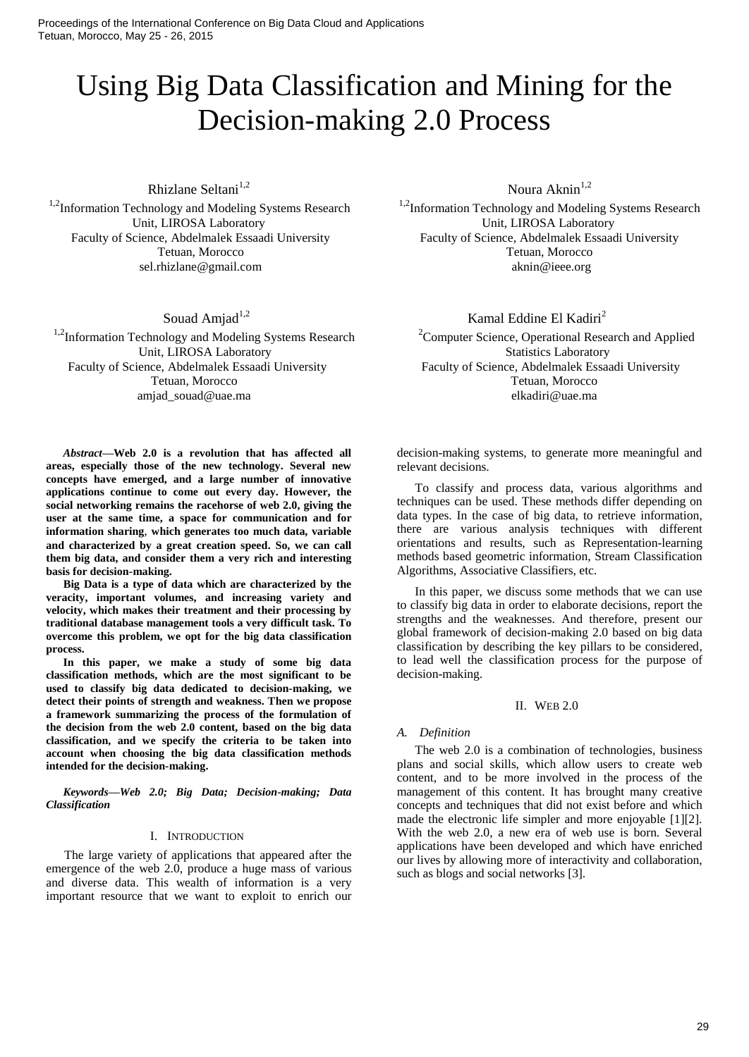Proceedings of the International Conference on Big Data Cloud and Applications Tetuan, Morocco, May 25 - 26, 2015

# Using Big Data Classification and Mining for the Decision-making 2.0 Process

Rhizlane Seltani $1,2$ 

<sup>1,2</sup>Information Technology and Modeling Systems Research Unit, LIROSA Laboratory Faculty of Science, Abdelmalek Essaadi University Tetuan, Morocco sel.rhizlane@gmail.com

Souad Amiad $1,2$ 

<sup>1,2</sup>Information Technology and Modeling Systems Research Faculty of Science, Abdelmalek Essaadi University Faculty of Science, Abdelmalek Essaadi University Tetuan, Morocco Tetuan, Morocco amjad souad@uae.ma elkadiri@uae.ma elkadiri@uae.ma elkadiri@uae.ma elkadiri

*Abstract***—Web 2.0 is a revolution that has affected all areas, especially those of the new technology. Several new concepts have emerged, and a large number of innovative applications continue to come out every day. However, the social networking remains the racehorse of web 2.0, giving the user at the same time, a space for communication and for information sharing**, **which generates too much data, variable and characterized by a great creation speed. So, we can call them big data, and consider them a very rich and interesting basis for decision-making.** 

**Big Data is a type of data which are characterized by the veracity, important volumes, and increasing variety and velocity, which makes their treatment and their processing by traditional database management tools a very difficult task. To overcome this problem, we opt for the big data classification process.**

**In this paper, we make a study of some big data classification methods, which are the most significant to be used to classify big data dedicated to decision-making, we detect their points of strength and weakness. Then we propose a framework summarizing the process of the formulation of the decision from the web 2.0 content, based on the big data classification, and we specify the criteria to be taken into account when choosing the big data classification methods intended for the decision-making.**

*Keywords—Web 2.0; Big Data; Decision-making; Data Classification*

#### I. INTRODUCTION

The large variety of applications that appeared after the emergence of the web 2.0, produce a huge mass of various and diverse data. This wealth of information is a very important resource that we want to exploit to enrich our Noura Akni $n^{1,2}$ 

<sup>1,2</sup>Information Technology and Modeling Systems Research Unit, LIROSA Laboratory Faculty of Science, Abdelmalek Essaadi University Tetuan, Morocco aknin@ieee.org

Kamal Eddine El Kadiri<sup>2</sup>

<sup>2</sup> Computer Science, Operational Research and Applied Unit, LIROSA Laboratory<br>
ience, Abdelmalek Essaadi University<br>
Faculty of Science, Abdelmalek Essaadi University<br>
Faculty of Science, Abdelmalek Essaadi University

> decision-making systems, to generate more meaningful and relevant decisions.

> To classify and process data, various algorithms and techniques can be used. These methods differ depending on data types. In the case of big data, to retrieve information, there are various analysis techniques with different orientations and results, such as Representation-learning methods based geometric information, Stream Classification Algorithms, Associative Classifiers, etc.

> In this paper, we discuss some methods that we can use to classify big data in order to elaborate decisions, report the strengths and the weaknesses. And therefore, present our global framework of decision-making 2.0 based on big data classification by describing the key pillars to be considered, to lead well the classification process for the purpose of decision-making.

#### II. WEB 2.0

#### *A. Definition*

The web 2.0 is a combination of technologies, business plans and social skills, which allow users to create web content, and to be more involved in the process of the management of this content. It has brought many creative concepts and techniques that did not exist before and which made the electronic life simpler and more enjoyable [1][2]. With the web 2.0, a new era of web use is born. Several applications have been developed and which have enriched our lives by allowing more of interactivity and collaboration, such as blogs and social networks [3].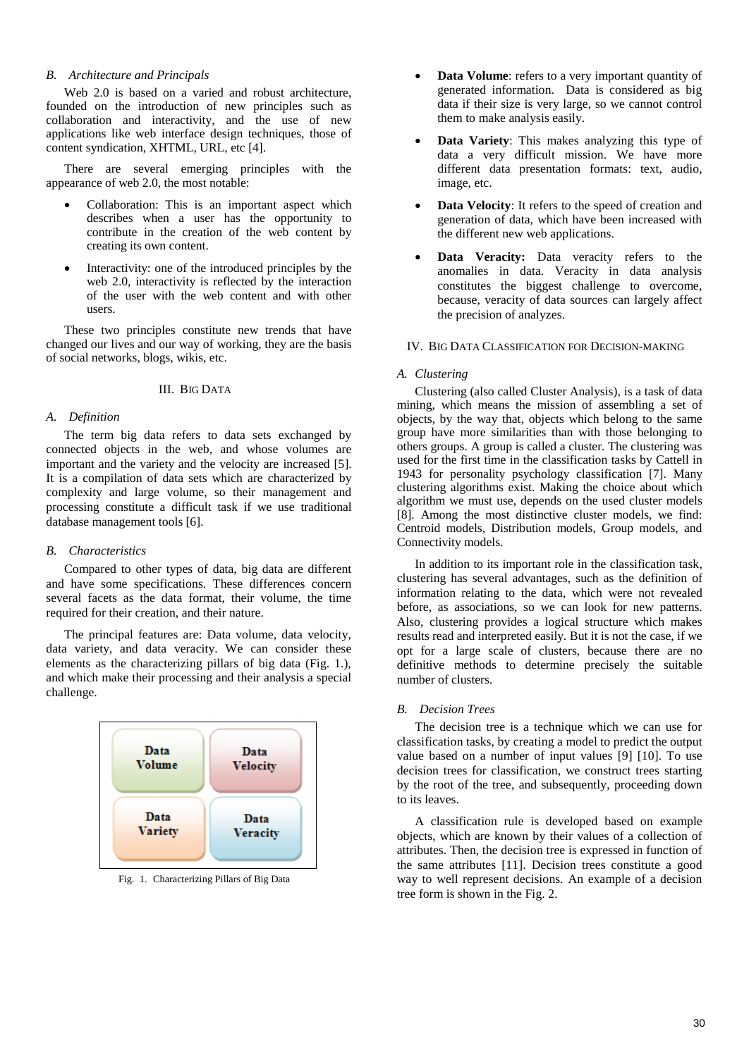# *B. Architecture and Principals*

Web 2.0 is based on a varied and robust architecture, founded on the introduction of new principles such as collaboration and interactivity, and the use of new applications like web interface design techniques, those of content syndication, XHTML, URL, etc [4].

There are several emerging principles with the appearance of web 2.0, the most notable:

- Collaboration: This is an important aspect which describes when a user has the opportunity to contribute in the creation of the web content by creating its own content.
- Interactivity: one of the introduced principles by the web 2.0, interactivity is reflected by the interaction of the user with the web content and with other users.

These two principles constitute new trends that have changed our lives and our way of working, they are the basis of social networks, blogs, wikis, etc.

## III. BIG DATA

# *A. Definition*

The term big data refers to data sets exchanged by connected objects in the web, and whose volumes are important and the variety and the velocity are increased [5]. It is a compilation of data sets which are characterized by complexity and large volume, so their management and processing constitute a difficult task if we use traditional database management tools [6].

#### *B. Characteristics*

Compared to other types of data, big data are different and have some specifications. These differences concern several facets as the data format, their volume, the time required for their creation, and their nature.

The principal features are: Data volume, data velocity, data variety, and data veracity. We can consider these elements as the characterizing pillars of big data (Fig. 1.), and which make their processing and their analysis a special challenge.



Fig. 1. Characterizing Pillars of Big Data

- **Data Volume**: refers to a very important quantity of generated information. Data is considered as big data if their size is very large, so we cannot control them to make analysis easily.
- **Data Variety**: This makes analyzing this type of data a very difficult mission. We have more different data presentation formats: text, audio, image, etc.
- **Data Velocity**: It refers to the speed of creation and generation of data, which have been increased with the different new web applications.
- **Data Veracity:** Data veracity refers to the anomalies in data. Veracity in data analysis constitutes the biggest challenge to overcome, because, veracity of data sources can largely affect the precision of analyzes.

#### IV. BIG DATA CLASSIFICATION FOR DECISION-MAKING

#### *A. Clustering*

Clustering (also called Cluster Analysis), is a task of [data](http://en.wikipedia.org/wiki/Data_mining)  [mining,](http://en.wikipedia.org/wiki/Data_mining) which means the mission of assembling a set of objects, by the way that, objects which belong to the same group have more similarities than with those belonging to others groups. A group is called a cluster. The clustering was used for the first time in the classification tasks by Cattell in 1943 for personality psychology classification [7]. Many clustering algorithms exist. Making the choice about which algorithm we must use, depends on the used cluster models [8]. Among the most distinctive cluster models, we find: Centroid models, Distribution models, Group models, and Connectivity models.

In addition to its important role in the classification task, clustering has several advantages, such as the definition of information relating to the data, which were not revealed before, as associations, so we can look for new patterns. Also, clustering provides a logical structure which makes results read and interpreted easily. But it is not the case, if we opt for a large scale of clusters, because there are no definitive methods to determine precisely the suitable number of clusters.

### *B. Decision Trees*

The decision tree is a technique which we can use for classification tasks, by creating a model to predict the output value based on a number of input values [9] [10]. To use decision trees for classification, we construct trees starting by the root of the tree, and subsequently, proceeding down to its leaves.

A classification rule is developed based on example objects, which are known by their values of a collection of attributes. Then, the decision tree is expressed in function of the same attributes [11]. Decision trees constitute a good way to well represent decisions. An example of a decision tree form is shown in the Fig. 2.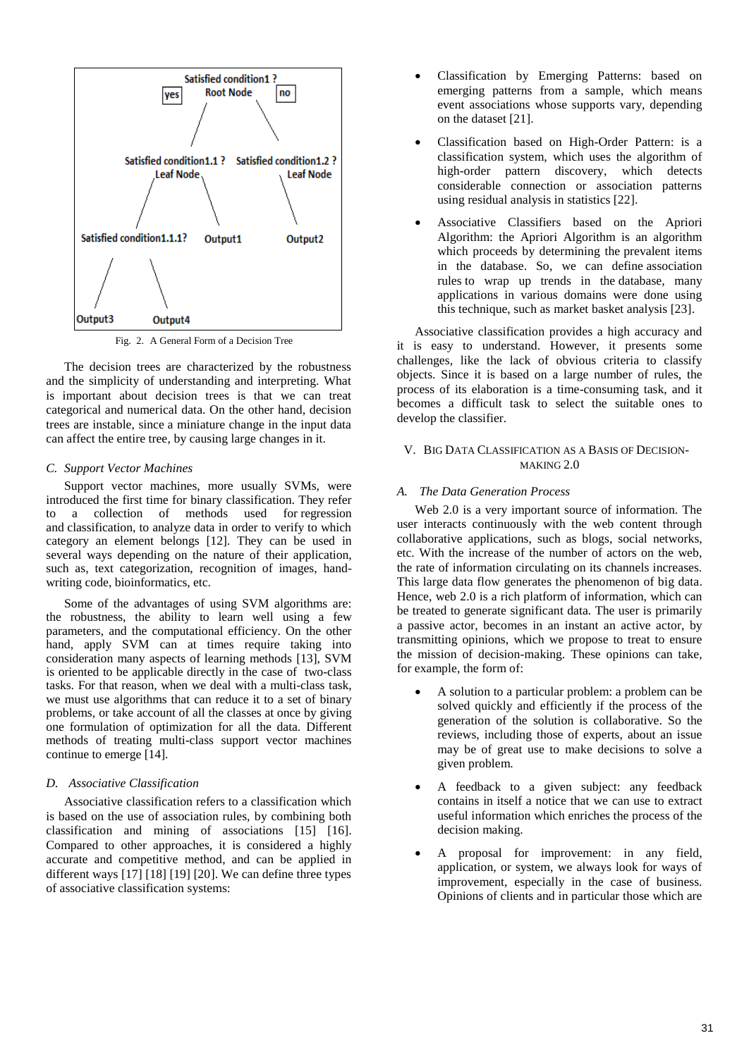

Fig. 2. A General Form of a Decision Tree

The decision trees are characterized by the robustness and the simplicity of understanding and interpreting. What is important about decision trees is that we can treat categorical and numerical data. On the other hand, decision trees are instable, since a miniature change in the input data can affect the entire tree, by causing large changes in it.

#### *C. Support Vector Machines*

Support vector machines, more usually SVMs, were introduced the first time for binary classification. They refer to a collection of methods used for regression and classification, to analyze data in order to verify to which category an element belongs [12]. They can be used in several ways depending on the nature of their application, such as, text categorization, recognition of images, handwriting code, bioinformatics, etc.

Some of the advantages of using SVM algorithms are: the robustness, the ability to learn well using a few parameters, and the computational efficiency. On the other hand, apply SVM can at times require taking into consideration many aspects of learning methods [13], SVM is oriented to be applicable directly in the case of two-class tasks. For that reason, when we deal with a multi-class task, we must use algorithms that can reduce it to a set of binary problems, or take account of all the classes at once by giving one formulation of optimization for all the data. Different methods of treating multi-class support vector machines continue to emerge [14].

## *D. Associative Classification*

Associative classification refers to a classification which is based on the use of association rules, by combining both classification and mining of associations [15] [16]. Compared to other approaches, it is considered a highly accurate and competitive method, and can be applied in different ways [17] [18] [19] [20]. We can define three types of associative classification systems:

- Classification by Emerging Patterns: based on emerging patterns from a sample, which means event associations whose supports vary, depending on the dataset [21].
- Classification based on High-Order Pattern: is a classification system, which uses the algorithm of high-order pattern discovery, which detects considerable connection or association patterns using residual analysis in statistics [22].
- Associative Classifiers based on the Apriori Algorithm: the Apriori Algorithm is an algorithm which proceeds by determining the prevalent items in the database. So, we can define association rules to wrap up trends in the database, many applications in various domains were done using this technique, such as market basket analysis [23].

Associative classification provides a high accuracy and it is easy to understand. However, it presents some challenges, like the lack of obvious criteria to classify objects. Since it is based on a large number of rules, the process of its elaboration is a time-consuming task, and it becomes a difficult task to select the suitable ones to develop the classifier.

## V. BIG DATA CLASSIFICATION AS A BASIS OF DECISION-MAKING 2.0

## *A. The Data Generation Process*

Web 2.0 is a very important source of information. The user interacts continuously with the web content through collaborative applications, such as blogs, social networks, etc. With the increase of the number of actors on the web, the rate of information circulating on its channels increases. This large data flow generates the phenomenon of big data. Hence, web 2.0 is a rich platform of information, which can be treated to generate significant data. The user is primarily a passive actor, becomes in an instant an active actor, by transmitting opinions, which we propose to treat to ensure the mission of decision-making. These opinions can take, for example, the form of:

- A solution to a particular problem: a problem can be solved quickly and efficiently if the process of the generation of the solution is collaborative. So the reviews, including those of experts, about an issue may be of great use to make decisions to solve a given problem.
- A feedback to a given subject: any feedback contains in itself a notice that we can use to extract useful information which enriches the process of the decision making.
- A proposal for improvement: in any field, application, or system, we always look for ways of improvement, especially in the case of business. Opinions of clients and in particular those which are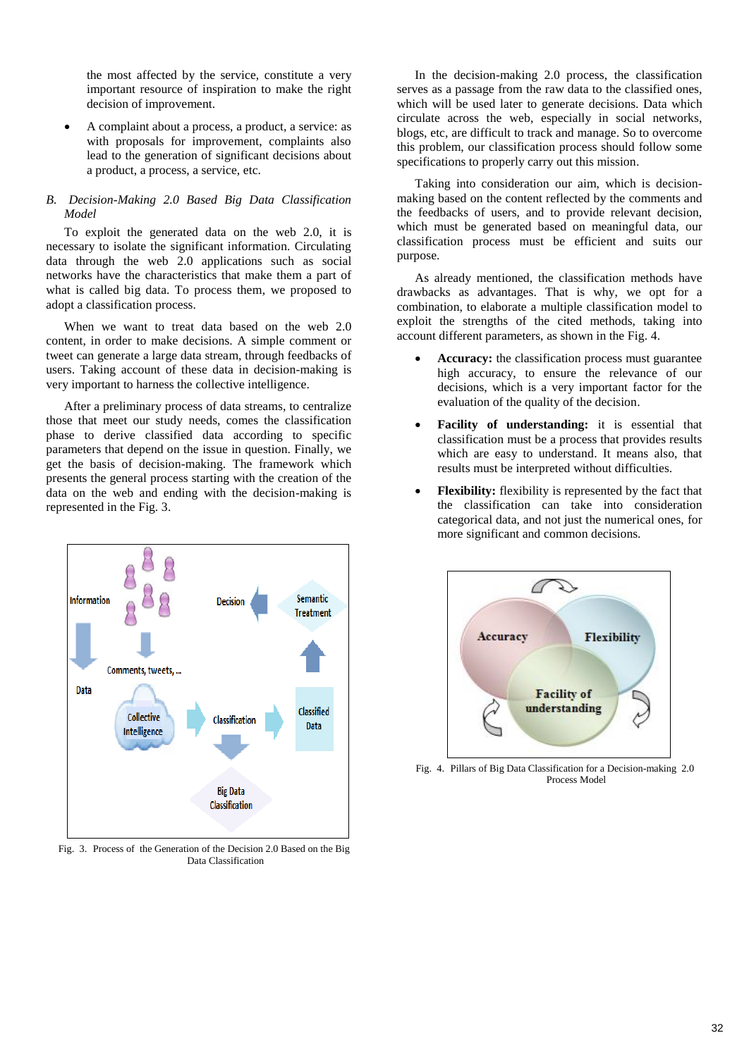the most affected by the service, constitute a very important resource of inspiration to make the right decision of improvement.

 A complaint about a process, a product, a service: as with proposals for improvement, complaints also lead to the generation of significant decisions about a product, a process, a service, etc.

# *B. Decision-Making 2.0 Based Big Data Classification Model*

To exploit the generated data on the web 2.0, it is necessary to isolate the significant information. Circulating data through the web 2.0 applications such as social networks have the characteristics that make them a part of what is called big data. To process them, we proposed to adopt a classification process.

When we want to treat data based on the web 2.0 content, in order to make decisions. A simple comment or tweet can generate a large data stream, through feedbacks of users. Taking account of these data in decision-making is very important to harness the collective intelligence.

After a preliminary process of data streams, to centralize those that meet our study needs, comes the classification phase to derive classified data according to specific parameters that depend on the issue in question. Finally, we get the basis of decision-making. The framework which presents the general process starting with the creation of the data on the web and ending with the decision-making is represented in the Fig. 3.



Fig. 3. Process of the Generation of the Decision 2.0 Based on the Big Data Classification

In the decision-making 2.0 process, the classification serves as a passage from the raw data to the classified ones, which will be used later to generate decisions. Data which circulate across the web, especially in social networks, blogs, etc, are difficult to track and manage. So to overcome this problem, our classification process should follow some specifications to properly carry out this mission.

Taking into consideration our aim, which is decisionmaking based on the content reflected by the comments and the feedbacks of users, and to provide relevant decision, which must be generated based on meaningful data, our classification process must be efficient and suits our purpose.

As already mentioned, the classification methods have drawbacks as advantages. That is why, we opt for a combination, to elaborate a multiple classification model to exploit the strengths of the cited methods, taking into account different parameters, as shown in the Fig. 4.

- **Accuracy:** the classification process must guarantee high accuracy, to ensure the relevance of our decisions, which is a very important factor for the evaluation of the quality of the decision.
- **Facility of understanding:** it is essential that classification must be a process that provides results which are easy to understand. It means also, that results must be interpreted without difficulties.
- **Flexibility:** flexibility is represented by the fact that the classification can take into consideration categorical data, and not just the numerical ones, for more significant and common decisions.



Fig. 4. Pillars of Big Data Classification for a Decision-making 2.0 Process Model